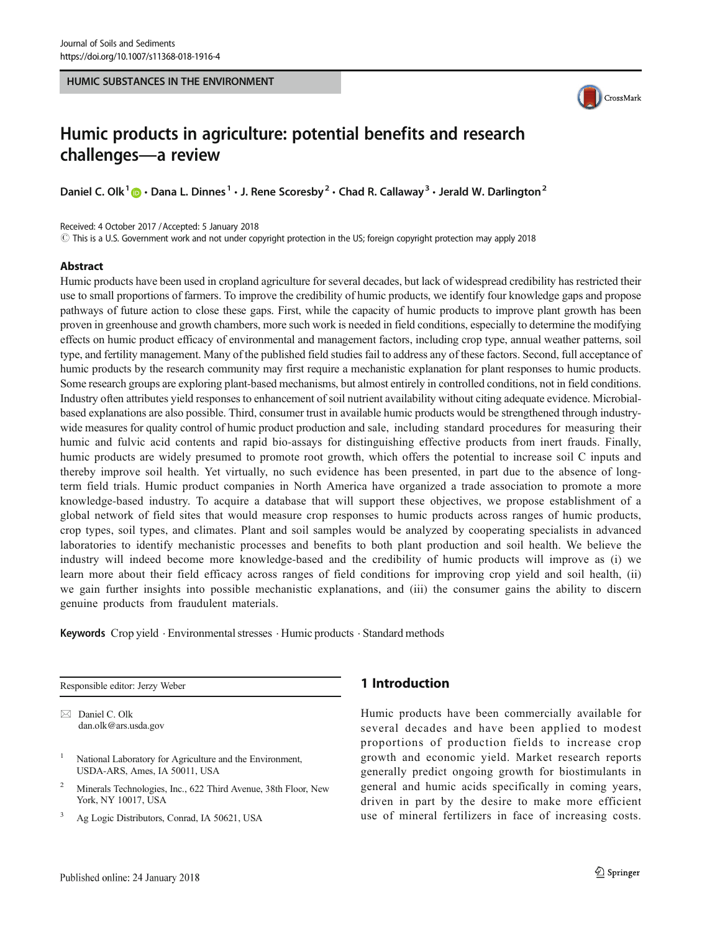#### HUMIC SUBSTANCES IN THE ENVIRONMENT



# Humic products in agriculture: potential benefits and research challenges—a review

Daniel C. Olk<sup>1</sup>  $\odot$  · Dana L. Dinnes<sup>1</sup> · J. Rene Scoresby<sup>2</sup> · Chad R. Callaway<sup>3</sup> · Jerald W. Darlington<sup>2</sup>

Received: 4 October 2017 /Accepted: 5 January 2018

 $\odot$  This is a U.S. Government work and not under copyright protection in the US; foreign copyright protection may apply 2018

# Abstract

Humic products have been used in cropland agriculture for several decades, but lack of widespread credibility has restricted their use to small proportions of farmers. To improve the credibility of humic products, we identify four knowledge gaps and propose pathways of future action to close these gaps. First, while the capacity of humic products to improve plant growth has been proven in greenhouse and growth chambers, more such work is needed in field conditions, especially to determine the modifying effects on humic product efficacy of environmental and management factors, including crop type, annual weather patterns, soil type, and fertility management. Many of the published field studies fail to address any of these factors. Second, full acceptance of humic products by the research community may first require a mechanistic explanation for plant responses to humic products. Some research groups are exploring plant-based mechanisms, but almost entirely in controlled conditions, not in field conditions. Industry often attributes yield responses to enhancement of soil nutrient availability without citing adequate evidence. Microbialbased explanations are also possible. Third, consumer trust in available humic products would be strengthened through industrywide measures for quality control of humic product production and sale, including standard procedures for measuring their humic and fulvic acid contents and rapid bio-assays for distinguishing effective products from inert frauds. Finally, humic products are widely presumed to promote root growth, which offers the potential to increase soil C inputs and thereby improve soil health. Yet virtually, no such evidence has been presented, in part due to the absence of longterm field trials. Humic product companies in North America have organized a trade association to promote a more knowledge-based industry. To acquire a database that will support these objectives, we propose establishment of a global network of field sites that would measure crop responses to humic products across ranges of humic products, crop types, soil types, and climates. Plant and soil samples would be analyzed by cooperating specialists in advanced laboratories to identify mechanistic processes and benefits to both plant production and soil health. We believe the industry will indeed become more knowledge-based and the credibility of humic products will improve as (i) we learn more about their field efficacy across ranges of field conditions for improving crop yield and soil health, (ii) we gain further insights into possible mechanistic explanations, and (iii) the consumer gains the ability to discern genuine products from fraudulent materials.

Keywords Crop yield . Environmental stresses . Humic products . Standard methods

Responsible editor: Jerzy Weber

 $\boxtimes$  Daniel C. Olk [dan.olk@ars.usda.gov](mailto:dan.olk@ars.usda.gov)

- <sup>1</sup> National Laboratory for Agriculture and the Environment, USDA-ARS, Ames, IA 50011, USA
- <sup>2</sup> Minerals Technologies, Inc., 622 Third Avenue, 38th Floor, New York, NY 10017, USA
- <sup>3</sup> Ag Logic Distributors, Conrad, IA 50621, USA

# 1 Introduction

Humic products have been commercially available for several decades and have been applied to modest proportions of production fields to increase crop growth and economic yield. Market research reports generally predict ongoing growth for biostimulants in general and humic acids specifically in coming years, driven in part by the desire to make more efficient use of mineral fertilizers in face of increasing costs.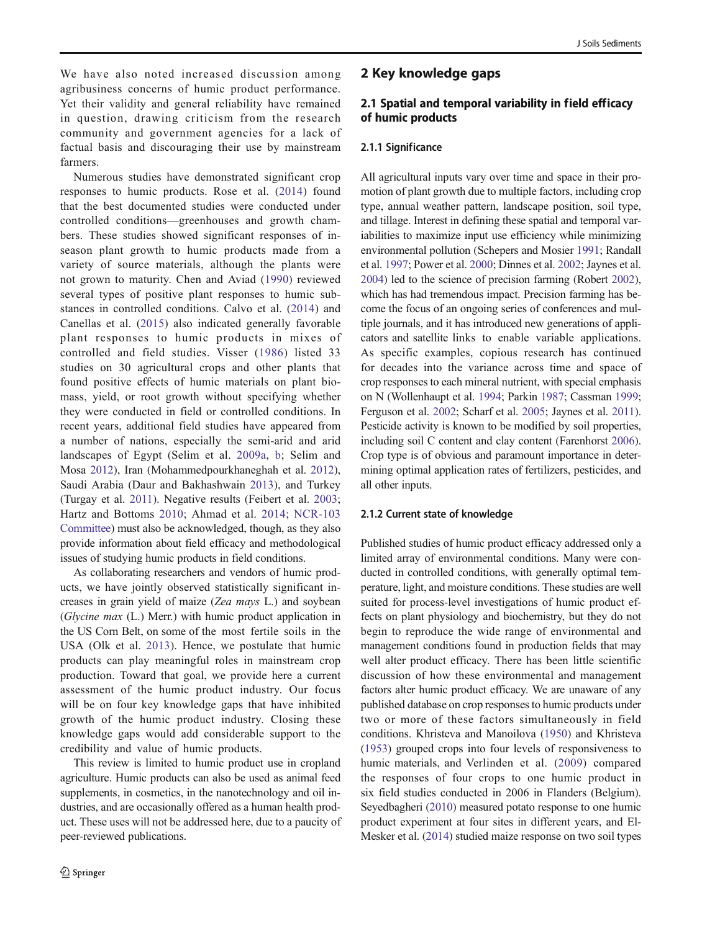We have also noted increased discussion among agribusiness concerns of humic product performance. Yet their validity and general reliability have remained in question, drawing criticism from the research community and government agencies for a lack of factual basis and discouraging their use by mainstream farmers.

Numerous studies have demonstrated significant crop responses to humic products. Rose et al. ([2014](#page-9-0)) found that the best documented studies were conducted under controlled conditions—greenhouses and growth chambers. These studies showed significant responses of inseason plant growth to humic products made from a variety of source materials, although the plants were not grown to maturity. Chen and Aviad ([1990](#page-8-0)) reviewed several types of positive plant responses to humic substances in controlled conditions. Calvo et al. ([2014](#page-8-0)) and Canellas et al. [\(2015\)](#page-8-0) also indicated generally favorable plant responses to humic products in mixes of controlled and field studies. Visser ([1986\)](#page-9-0) listed 33 studies on 30 agricultural crops and other plants that found positive effects of humic materials on plant biomass, yield, or root growth without specifying whether they were conducted in field or controlled conditions. In recent years, additional field studies have appeared from a number of nations, especially the semi-arid and arid landscapes of Egypt (Selim et al. [2009a,](#page-9-0) [b](#page-9-0); Selim and Mosa [2012](#page-9-0)), Iran (Mohammedpourkhaneghah et al. [2012](#page-8-0)), Saudi Arabia (Daur and Bakhashwain [2013](#page-8-0)), and Turkey (Turgay et al. [2011\)](#page-9-0). Negative results (Feibert et al. [2003](#page-8-0); Hartz and Bottoms [2010;](#page-8-0) Ahmad et al. [2014;](#page-7-0) [NCR-103](#page-9-0) [Committee\)](#page-9-0) must also be acknowledged, though, as they also provide information about field efficacy and methodological issues of studying humic products in field conditions.

As collaborating researchers and vendors of humic products, we have jointly observed statistically significant increases in grain yield of maize (Zea mays L.) and soybean (Glycine max (L.) Merr.) with humic product application in the US Corn Belt, on some of the most fertile soils in the USA (Olk et al. [2013\)](#page-9-0). Hence, we postulate that humic products can play meaningful roles in mainstream crop production. Toward that goal, we provide here a current assessment of the humic product industry. Our focus will be on four key knowledge gaps that have inhibited growth of the humic product industry. Closing these knowledge gaps would add considerable support to the credibility and value of humic products.

This review is limited to humic product use in cropland agriculture. Humic products can also be used as animal feed supplements, in cosmetics, in the nanotechnology and oil industries, and are occasionally offered as a human health product. These uses will not be addressed here, due to a paucity of peer-reviewed publications.

# 2 Key knowledge gaps

# 2.1 Spatial and temporal variability in field efficacy of humic products

## 2.1.1 Significance

All agricultural inputs vary over time and space in their promotion of plant growth due to multiple factors, including crop type, annual weather pattern, landscape position, soil type, and tillage. Interest in defining these spatial and temporal variabilities to maximize input use efficiency while minimizing environmental pollution (Schepers and Mosier [1991;](#page-9-0) Randall et al. [1997](#page-9-0); Power et al. [2000](#page-9-0); Dinnes et al. [2002;](#page-8-0) Jaynes et al. [2004\)](#page-8-0) led to the science of precision farming (Robert [2002\)](#page-9-0), which has had tremendous impact. Precision farming has become the focus of an ongoing series of conferences and multiple journals, and it has introduced new generations of applicators and satellite links to enable variable applications. As specific examples, copious research has continued for decades into the variance across time and space of crop responses to each mineral nutrient, with special emphasis on N (Wollenhaupt et al. [1994](#page-10-0); Parkin [1987;](#page-9-0) Cassman [1999;](#page-8-0) Ferguson et al. [2002;](#page-8-0) Scharf et al. [2005;](#page-9-0) Jaynes et al. [2011\)](#page-8-0). Pesticide activity is known to be modified by soil properties, including soil C content and clay content (Farenhorst [2006\)](#page-8-0). Crop type is of obvious and paramount importance in determining optimal application rates of fertilizers, pesticides, and all other inputs.

#### 2.1.2 Current state of knowledge

Published studies of humic product efficacy addressed only a limited array of environmental conditions. Many were conducted in controlled conditions, with generally optimal temperature, light, and moisture conditions. These studies are well suited for process-level investigations of humic product effects on plant physiology and biochemistry, but they do not begin to reproduce the wide range of environmental and management conditions found in production fields that may well alter product efficacy. There has been little scientific discussion of how these environmental and management factors alter humic product efficacy. We are unaware of any published database on crop responses to humic products under two or more of these factors simultaneously in field conditions. Khristeva and Manoilova ([1950\)](#page-8-0) and Khristeva [\(1953](#page-8-0)) grouped crops into four levels of responsiveness to humic materials, and Verlinden et al. ([2009\)](#page-9-0) compared the responses of four crops to one humic product in six field studies conducted in 2006 in Flanders (Belgium). Seyedbagheri ([2010](#page-9-0)) measured potato response to one humic product experiment at four sites in different years, and El-Mesker et al. ([2014](#page-8-0)) studied maize response on two soil types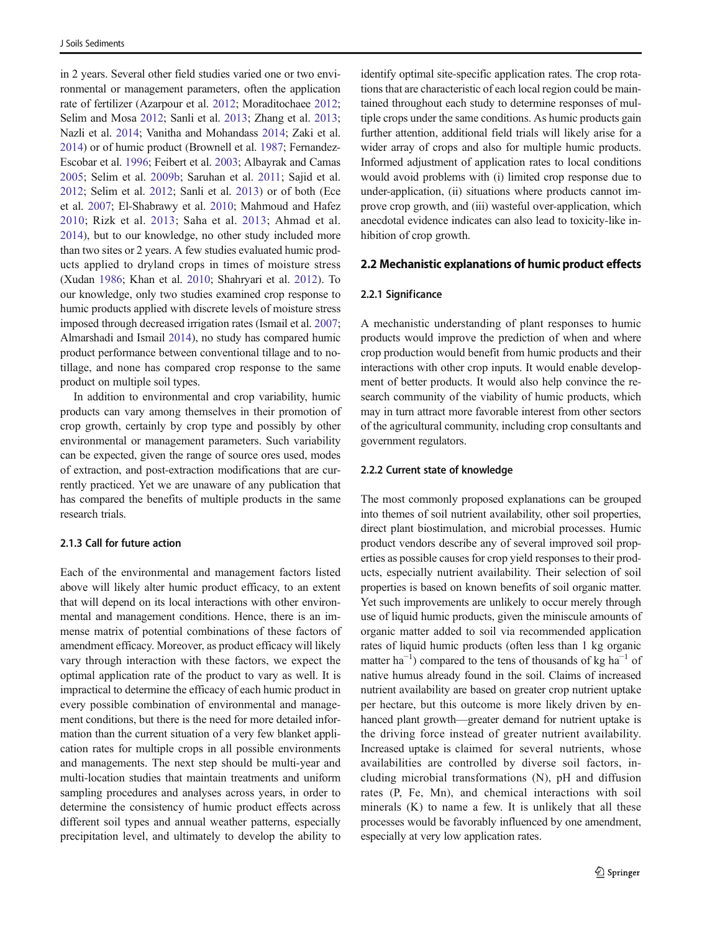in 2 years. Several other field studies varied one or two environmental or management parameters, often the application rate of fertilizer (Azarpour et al. [2012](#page-7-0); Moraditochaee [2012](#page-8-0); Selim and Mosa [2012;](#page-9-0) Sanli et al. [2013;](#page-9-0) Zhang et al. [2013](#page-10-0); Nazli et al. [2014](#page-9-0); Vanitha and Mohandass [2014](#page-9-0); Zaki et al. [2014\)](#page-10-0) or of humic product (Brownell et al. [1987](#page-7-0); Fernandez-Escobar et al. [1996;](#page-8-0) Feibert et al. [2003;](#page-8-0) Albayrak and Camas [2005;](#page-7-0) Selim et al. [2009b;](#page-9-0) Saruhan et al. [2011;](#page-9-0) Sajid et al. [2012;](#page-9-0) Selim et al. [2012;](#page-9-0) Sanli et al. [2013\)](#page-9-0) or of both (Ece et al. [2007](#page-8-0); El-Shabrawy et al. [2010;](#page-8-0) Mahmoud and Hafez [2010;](#page-8-0) Rizk et al. [2013;](#page-9-0) Saha et al. [2013](#page-9-0); Ahmad et al. [2014\)](#page-7-0), but to our knowledge, no other study included more than two sites or 2 years. A few studies evaluated humic products applied to dryland crops in times of moisture stress (Xudan [1986;](#page-10-0) Khan et al. [2010](#page-8-0); Shahryari et al. [2012\)](#page-9-0). To our knowledge, only two studies examined crop response to humic products applied with discrete levels of moisture stress imposed through decreased irrigation rates (Ismail et al. [2007](#page-8-0); Almarshadi and Ismail [2014\)](#page-7-0), no study has compared humic product performance between conventional tillage and to notillage, and none has compared crop response to the same product on multiple soil types.

In addition to environmental and crop variability, humic products can vary among themselves in their promotion of crop growth, certainly by crop type and possibly by other environmental or management parameters. Such variability can be expected, given the range of source ores used, modes of extraction, and post-extraction modifications that are currently practiced. Yet we are unaware of any publication that has compared the benefits of multiple products in the same research trials.

## 2.1.3 Call for future action

Each of the environmental and management factors listed above will likely alter humic product efficacy, to an extent that will depend on its local interactions with other environmental and management conditions. Hence, there is an immense matrix of potential combinations of these factors of amendment efficacy. Moreover, as product efficacy will likely vary through interaction with these factors, we expect the optimal application rate of the product to vary as well. It is impractical to determine the efficacy of each humic product in every possible combination of environmental and management conditions, but there is the need for more detailed information than the current situation of a very few blanket application rates for multiple crops in all possible environments and managements. The next step should be multi-year and multi-location studies that maintain treatments and uniform sampling procedures and analyses across years, in order to determine the consistency of humic product effects across different soil types and annual weather patterns, especially precipitation level, and ultimately to develop the ability to

identify optimal site-specific application rates. The crop rotations that are characteristic of each local region could be maintained throughout each study to determine responses of multiple crops under the same conditions. As humic products gain further attention, additional field trials will likely arise for a wider array of crops and also for multiple humic products. Informed adjustment of application rates to local conditions would avoid problems with (i) limited crop response due to under-application, (ii) situations where products cannot improve crop growth, and (iii) wasteful over-application, which anecdotal evidence indicates can also lead to toxicity-like inhibition of crop growth.

# 2.2 Mechanistic explanations of humic product effects

## 2.2.1 Significance

A mechanistic understanding of plant responses to humic products would improve the prediction of when and where crop production would benefit from humic products and their interactions with other crop inputs. It would enable development of better products. It would also help convince the research community of the viability of humic products, which may in turn attract more favorable interest from other sectors of the agricultural community, including crop consultants and government regulators.

#### 2.2.2 Current state of knowledge

The most commonly proposed explanations can be grouped into themes of soil nutrient availability, other soil properties, direct plant biostimulation, and microbial processes. Humic product vendors describe any of several improved soil properties as possible causes for crop yield responses to their products, especially nutrient availability. Their selection of soil properties is based on known benefits of soil organic matter. Yet such improvements are unlikely to occur merely through use of liquid humic products, given the miniscule amounts of organic matter added to soil via recommended application rates of liquid humic products (often less than 1 kg organic matter ha<sup>-1</sup>) compared to the tens of thousands of kg ha<sup>-1</sup> of native humus already found in the soil. Claims of increased nutrient availability are based on greater crop nutrient uptake per hectare, but this outcome is more likely driven by enhanced plant growth—greater demand for nutrient uptake is the driving force instead of greater nutrient availability. Increased uptake is claimed for several nutrients, whose availabilities are controlled by diverse soil factors, including microbial transformations (N), pH and diffusion rates (P, Fe, Mn), and chemical interactions with soil minerals (K) to name a few. It is unlikely that all these processes would be favorably influenced by one amendment, especially at very low application rates.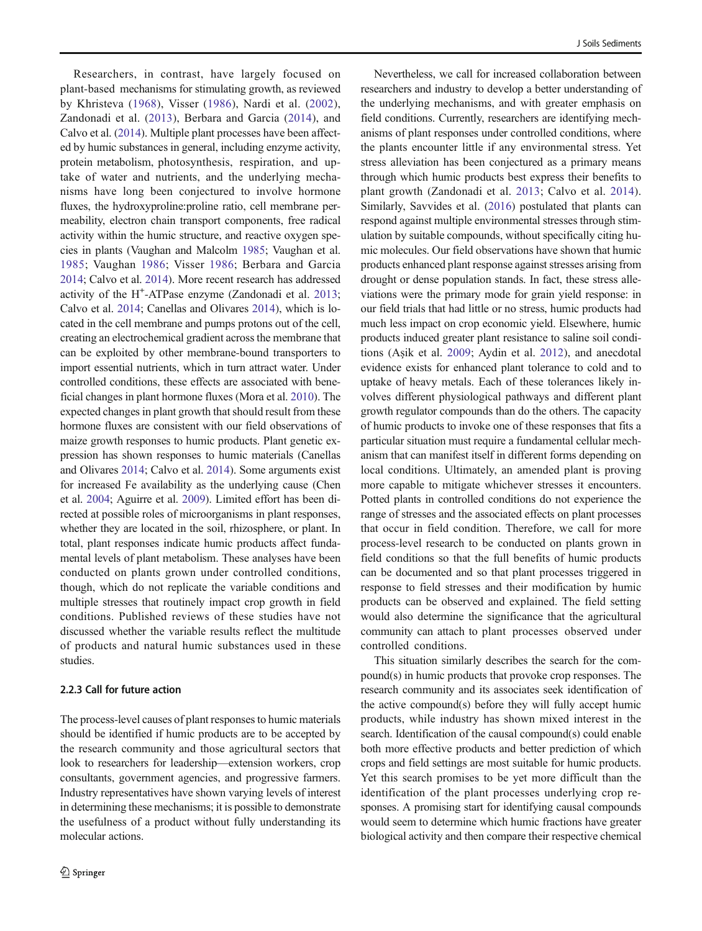Researchers, in contrast, have largely focused on plant-based mechanisms for stimulating growth, as reviewed by Khristeva [\(1968](#page-8-0)), Visser ([1986\)](#page-9-0), Nardi et al. ([2002](#page-8-0)), Zandonadi et al. [\(2013\)](#page-10-0), Berbara and Garcia ([2014\)](#page-7-0), and Calvo et al. [\(2014\)](#page-8-0). Multiple plant processes have been affected by humic substances in general, including enzyme activity, protein metabolism, photosynthesis, respiration, and uptake of water and nutrients, and the underlying mechanisms have long been conjectured to involve hormone fluxes, the hydroxyproline:proline ratio, cell membrane permeability, electron chain transport components, free radical activity within the humic structure, and reactive oxygen species in plants (Vaughan and Malcolm [1985;](#page-9-0) Vaughan et al. [1985](#page-9-0); Vaughan [1986;](#page-9-0) Visser [1986;](#page-9-0) Berbara and Garcia [2014;](#page-7-0) Calvo et al. [2014\)](#page-8-0). More recent research has addressed activity of the H<sup>+</sup>-ATPase enzyme (Zandonadi et al. [2013](#page-10-0); Calvo et al. [2014](#page-8-0); Canellas and Olivares [2014\)](#page-8-0), which is located in the cell membrane and pumps protons out of the cell, creating an electrochemical gradient across the membrane that can be exploited by other membrane-bound transporters to import essential nutrients, which in turn attract water. Under controlled conditions, these effects are associated with beneficial changes in plant hormone fluxes (Mora et al. [2010](#page-8-0)). The expected changes in plant growth that should result from these hormone fluxes are consistent with our field observations of maize growth responses to humic products. Plant genetic expression has shown responses to humic materials (Canellas and Olivares [2014;](#page-8-0) Calvo et al. [2014\)](#page-8-0). Some arguments exist for increased Fe availability as the underlying cause (Chen et al. [2004](#page-8-0); Aguirre et al. [2009](#page-7-0)). Limited effort has been directed at possible roles of microorganisms in plant responses, whether they are located in the soil, rhizosphere, or plant. In total, plant responses indicate humic products affect fundamental levels of plant metabolism. These analyses have been conducted on plants grown under controlled conditions, though, which do not replicate the variable conditions and multiple stresses that routinely impact crop growth in field conditions. Published reviews of these studies have not discussed whether the variable results reflect the multitude of products and natural humic substances used in these studies.

# 2.2.3 Call for future action

The process-level causes of plant responses to humic materials should be identified if humic products are to be accepted by the research community and those agricultural sectors that look to researchers for leadership—extension workers, crop consultants, government agencies, and progressive farmers. Industry representatives have shown varying levels of interest in determining these mechanisms; it is possible to demonstrate the usefulness of a product without fully understanding its molecular actions.

Nevertheless, we call for increased collaboration between researchers and industry to develop a better understanding of the underlying mechanisms, and with greater emphasis on field conditions. Currently, researchers are identifying mechanisms of plant responses under controlled conditions, where the plants encounter little if any environmental stress. Yet stress alleviation has been conjectured as a primary means through which humic products best express their benefits to plant growth (Zandonadi et al. [2013](#page-10-0); Calvo et al. [2014](#page-8-0)). Similarly, Savvides et al. [\(2016](#page-9-0)) postulated that plants can respond against multiple environmental stresses through stimulation by suitable compounds, without specifically citing humic molecules. Our field observations have shown that humic products enhanced plant response against stresses arising from drought or dense population stands. In fact, these stress alleviations were the primary mode for grain yield response: in our field trials that had little or no stress, humic products had much less impact on crop economic yield. Elsewhere, humic products induced greater plant resistance to saline soil conditions (Aşik et al. [2009;](#page-7-0) Aydin et al. [2012](#page-7-0)), and anecdotal evidence exists for enhanced plant tolerance to cold and to uptake of heavy metals. Each of these tolerances likely involves different physiological pathways and different plant growth regulator compounds than do the others. The capacity of humic products to invoke one of these responses that fits a particular situation must require a fundamental cellular mechanism that can manifest itself in different forms depending on local conditions. Ultimately, an amended plant is proving more capable to mitigate whichever stresses it encounters. Potted plants in controlled conditions do not experience the range of stresses and the associated effects on plant processes that occur in field condition. Therefore, we call for more process-level research to be conducted on plants grown in field conditions so that the full benefits of humic products can be documented and so that plant processes triggered in response to field stresses and their modification by humic products can be observed and explained. The field setting would also determine the significance that the agricultural community can attach to plant processes observed under controlled conditions.

This situation similarly describes the search for the compound(s) in humic products that provoke crop responses. The research community and its associates seek identification of the active compound(s) before they will fully accept humic products, while industry has shown mixed interest in the search. Identification of the causal compound(s) could enable both more effective products and better prediction of which crops and field settings are most suitable for humic products. Yet this search promises to be yet more difficult than the identification of the plant processes underlying crop responses. A promising start for identifying causal compounds would seem to determine which humic fractions have greater biological activity and then compare their respective chemical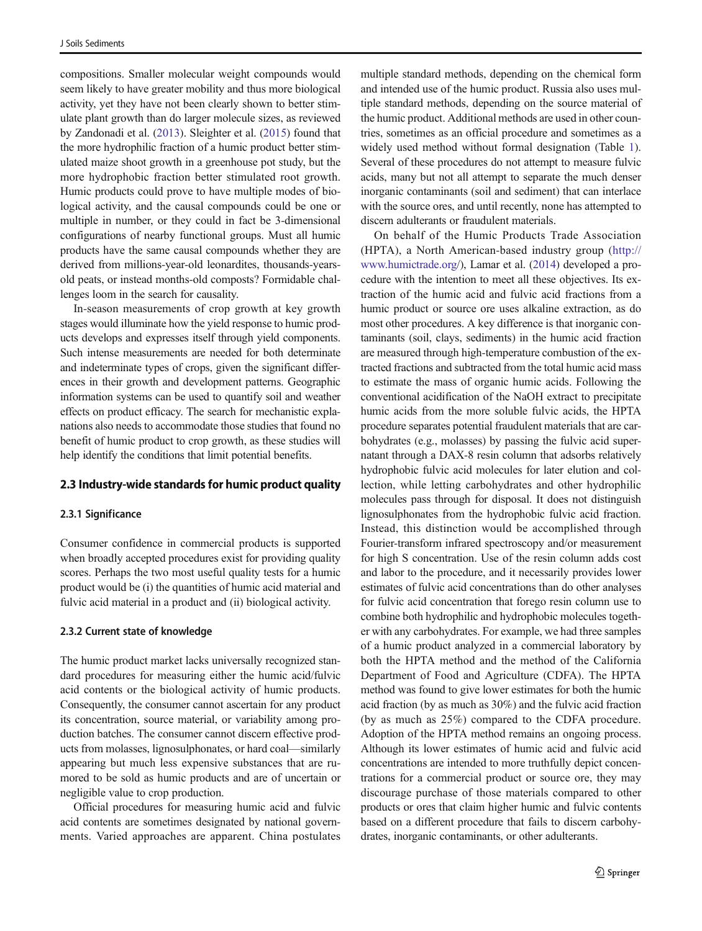compositions. Smaller molecular weight compounds would seem likely to have greater mobility and thus more biological activity, yet they have not been clearly shown to better stimulate plant growth than do larger molecule sizes, as reviewed by Zandonadi et al. [\(2013\)](#page-10-0). Sleighter et al. ([2015](#page-9-0)) found that the more hydrophilic fraction of a humic product better stimulated maize shoot growth in a greenhouse pot study, but the more hydrophobic fraction better stimulated root growth. Humic products could prove to have multiple modes of biological activity, and the causal compounds could be one or multiple in number, or they could in fact be 3-dimensional configurations of nearby functional groups. Must all humic products have the same causal compounds whether they are derived from millions-year-old leonardites, thousands-yearsold peats, or instead months-old composts? Formidable challenges loom in the search for causality.

In-season measurements of crop growth at key growth stages would illuminate how the yield response to humic products develops and expresses itself through yield components. Such intense measurements are needed for both determinate and indeterminate types of crops, given the significant differences in their growth and development patterns. Geographic information systems can be used to quantify soil and weather effects on product efficacy. The search for mechanistic explanations also needs to accommodate those studies that found no benefit of humic product to crop growth, as these studies will help identify the conditions that limit potential benefits.

#### 2.3 Industry-wide standards for humic product quality

#### 2.3.1 Significance

Consumer confidence in commercial products is supported when broadly accepted procedures exist for providing quality scores. Perhaps the two most useful quality tests for a humic product would be (i) the quantities of humic acid material and fulvic acid material in a product and (ii) biological activity.

#### 2.3.2 Current state of knowledge

The humic product market lacks universally recognized standard procedures for measuring either the humic acid/fulvic acid contents or the biological activity of humic products. Consequently, the consumer cannot ascertain for any product its concentration, source material, or variability among production batches. The consumer cannot discern effective products from molasses, lignosulphonates, or hard coal—similarly appearing but much less expensive substances that are rumored to be sold as humic products and are of uncertain or negligible value to crop production.

Official procedures for measuring humic acid and fulvic acid contents are sometimes designated by national governments. Varied approaches are apparent. China postulates

multiple standard methods, depending on the chemical form and intended use of the humic product. Russia also uses multiple standard methods, depending on the source material of the humic product. Additional methods are used in other countries, sometimes as an official procedure and sometimes as a widely used method without formal designation (Table [1\)](#page-5-0). Several of these procedures do not attempt to measure fulvic acids, many but not all attempt to separate the much denser inorganic contaminants (soil and sediment) that can interlace with the source ores, and until recently, none has attempted to discern adulterants or fraudulent materials.

On behalf of the Humic Products Trade Association (HPTA), a North American-based industry group ([http://](http://www.humictrade.org) [www.humictrade.org/](http://www.humictrade.org)), Lamar et al. [\(2014\)](#page-8-0) developed a procedure with the intention to meet all these objectives. Its extraction of the humic acid and fulvic acid fractions from a humic product or source ore uses alkaline extraction, as do most other procedures. A key difference is that inorganic contaminants (soil, clays, sediments) in the humic acid fraction are measured through high-temperature combustion of the extracted fractions and subtracted from the total humic acid mass to estimate the mass of organic humic acids. Following the conventional acidification of the NaOH extract to precipitate humic acids from the more soluble fulvic acids, the HPTA procedure separates potential fraudulent materials that are carbohydrates (e.g., molasses) by passing the fulvic acid supernatant through a DAX-8 resin column that adsorbs relatively hydrophobic fulvic acid molecules for later elution and collection, while letting carbohydrates and other hydrophilic molecules pass through for disposal. It does not distinguish lignosulphonates from the hydrophobic fulvic acid fraction. Instead, this distinction would be accomplished through Fourier-transform infrared spectroscopy and/or measurement for high S concentration. Use of the resin column adds cost and labor to the procedure, and it necessarily provides lower estimates of fulvic acid concentrations than do other analyses for fulvic acid concentration that forego resin column use to combine both hydrophilic and hydrophobic molecules together with any carbohydrates. For example, we had three samples of a humic product analyzed in a commercial laboratory by both the HPTA method and the method of the California Department of Food and Agriculture (CDFA). The HPTA method was found to give lower estimates for both the humic acid fraction (by as much as 30%) and the fulvic acid fraction (by as much as 25%) compared to the CDFA procedure. Adoption of the HPTA method remains an ongoing process. Although its lower estimates of humic acid and fulvic acid concentrations are intended to more truthfully depict concentrations for a commercial product or source ore, they may discourage purchase of those materials compared to other products or ores that claim higher humic and fulvic contents based on a different procedure that fails to discern carbohydrates, inorganic contaminants, or other adulterants.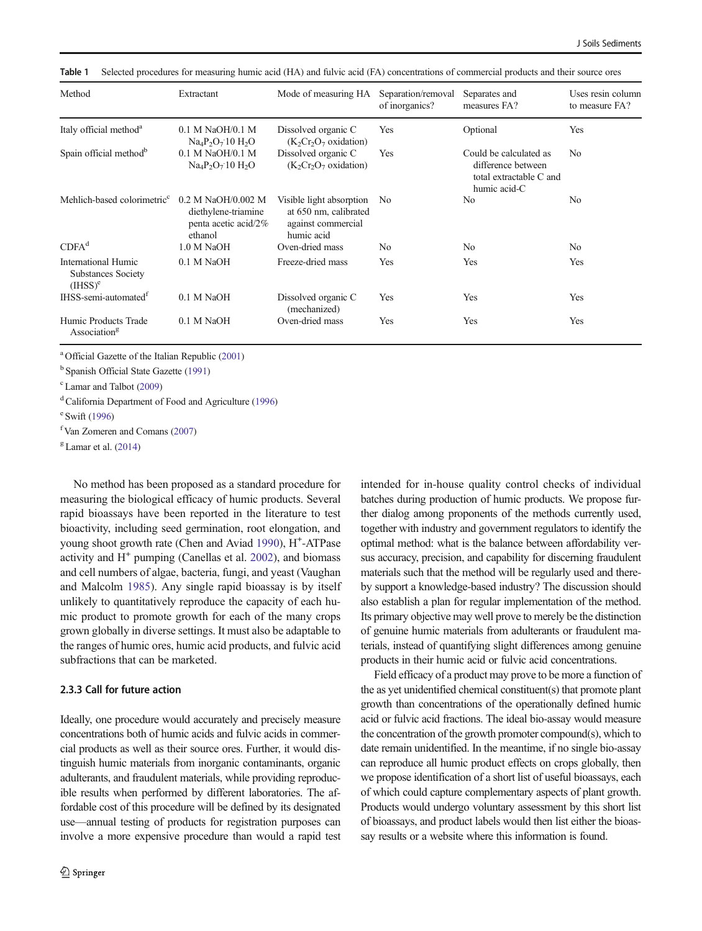| Method                                                  | Extractant                                                                   | Mode of measuring HA                                                                  | Separation/removal<br>of inorganics? | Separates and<br>measures FA?                                                           | Uses resin column<br>to measure FA? |
|---------------------------------------------------------|------------------------------------------------------------------------------|---------------------------------------------------------------------------------------|--------------------------------------|-----------------------------------------------------------------------------------------|-------------------------------------|
| Italy official method <sup>a</sup>                      | $0.1$ M NaOH/0.1 M<br>$Na_4P_2O_710H_2O$                                     | Dissolved organic C<br>$(K_2Cr_2O_7)$ oxidation)                                      | Yes                                  | Optional                                                                                | Yes                                 |
| Spain official method <sup>b</sup>                      | $0.1$ M NaOH/0.1 M<br>$Na_4P_2O_710H_2O$                                     | Dissolved organic C<br>$(K_2Cr_2O_7)$ oxidation)                                      | Yes                                  | Could be calculated as<br>difference between<br>total extractable C and<br>humic acid-C | N <sub>0</sub>                      |
| Mehlich-based colorimetric <sup>c</sup>                 | 0.2 M NaOH/0.002 M<br>diethylene-triamine<br>penta acetic acid/2%<br>ethanol | Visible light absorption<br>at 650 nm, calibrated<br>against commercial<br>humic acid | No                                   | N <sub>0</sub>                                                                          | No                                  |
| CDFA <sup>d</sup>                                       | 1.0 M NaOH                                                                   | Oven-dried mass                                                                       | N <sub>0</sub>                       | N <sub>0</sub>                                                                          | N <sub>0</sub>                      |
| International Humic<br>Substances Society<br>$(HISS)^e$ | 0.1 M NaOH                                                                   | Freeze-dried mass                                                                     | Yes                                  | Yes                                                                                     | Yes                                 |
| IHSS-semi-automated <sup>1</sup>                        | 0.1 M NaOH                                                                   | Dissolved organic C<br>(mechanized)                                                   | Yes                                  | Yes                                                                                     | Yes                                 |
| Humic Products Trade<br>Association <sup>g</sup>        | 0.1 M NaOH                                                                   | Oven-dried mass                                                                       | Yes                                  | Yes                                                                                     | Yes                                 |

<span id="page-5-0"></span>Table 1 Selected procedures for measuring humic acid (HA) and fulvic acid (FA) concentrations of commercial products and their source ores

<sup>a</sup> Official Gazette of the Italian Republic [\(2001\)](#page-9-0)

<sup>b</sup> Spanish Official State Gazette [\(1991\)](#page-9-0)

c Lamar and Talbot ([2009](#page-8-0))

<sup>d</sup> California Department of Food and Agriculture [\(1996](#page-7-0))

e Swift ([1996](#page-9-0))

f Van Zomeren and Comans ([2007](#page-9-0))

 $g$  Lamar et al. [\(2014\)](#page-8-0)

No method has been proposed as a standard procedure for measuring the biological efficacy of humic products. Several rapid bioassays have been reported in the literature to test bioactivity, including seed germination, root elongation, and young shoot growth rate (Chen and Aviad [1990\)](#page-8-0), H<sup>+</sup>-ATPase activity and  $H^+$  pumping (Canellas et al. [2002\)](#page-8-0), and biomass and cell numbers of algae, bacteria, fungi, and yeast (Vaughan and Malcolm [1985\)](#page-9-0). Any single rapid bioassay is by itself unlikely to quantitatively reproduce the capacity of each humic product to promote growth for each of the many crops grown globally in diverse settings. It must also be adaptable to the ranges of humic ores, humic acid products, and fulvic acid subfractions that can be marketed.

## 2.3.3 Call for future action

Ideally, one procedure would accurately and precisely measure concentrations both of humic acids and fulvic acids in commercial products as well as their source ores. Further, it would distinguish humic materials from inorganic contaminants, organic adulterants, and fraudulent materials, while providing reproducible results when performed by different laboratories. The affordable cost of this procedure will be defined by its designated use—annual testing of products for registration purposes can involve a more expensive procedure than would a rapid test intended for in-house quality control checks of individual batches during production of humic products. We propose further dialog among proponents of the methods currently used, together with industry and government regulators to identify the optimal method: what is the balance between affordability versus accuracy, precision, and capability for discerning fraudulent materials such that the method will be regularly used and thereby support a knowledge-based industry? The discussion should also establish a plan for regular implementation of the method. Its primary objective may well prove to merely be the distinction of genuine humic materials from adulterants or fraudulent materials, instead of quantifying slight differences among genuine products in their humic acid or fulvic acid concentrations.

Field efficacy of a product may prove to be more a function of the as yet unidentified chemical constituent(s) that promote plant growth than concentrations of the operationally defined humic acid or fulvic acid fractions. The ideal bio-assay would measure the concentration of the growth promoter compound(s), which to date remain unidentified. In the meantime, if no single bio-assay can reproduce all humic product effects on crops globally, then we propose identification of a short list of useful bioassays, each of which could capture complementary aspects of plant growth. Products would undergo voluntary assessment by this short list of bioassays, and product labels would then list either the bioassay results or a website where this information is found.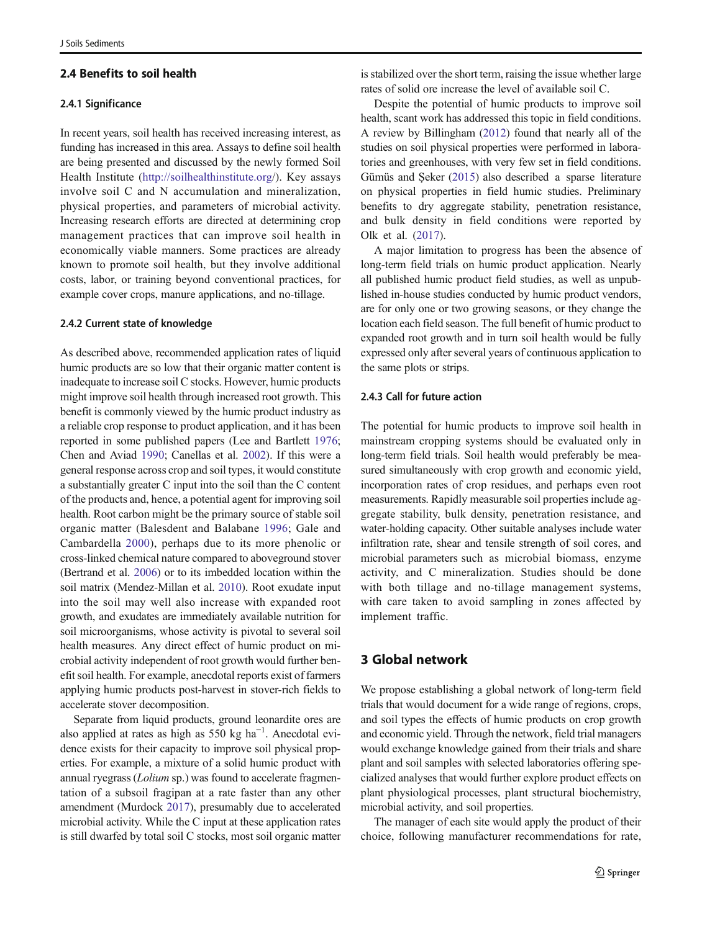# 2.4 Benefits to soil health

## 2.4.1 Significance

In recent years, soil health has received increasing interest, as funding has increased in this area. Assays to define soil health are being presented and discussed by the newly formed Soil Health Institute ([http://soilhealthinstitute.org/](http://soilhealthinstitute.org)). Key assays involve soil C and N accumulation and mineralization, physical properties, and parameters of microbial activity. Increasing research efforts are directed at determining crop management practices that can improve soil health in economically viable manners. Some practices are already known to promote soil health, but they involve additional costs, labor, or training beyond conventional practices, for example cover crops, manure applications, and no-tillage.

#### 2.4.2 Current state of knowledge

As described above, recommended application rates of liquid humic products are so low that their organic matter content is inadequate to increase soil C stocks. However, humic products might improve soil health through increased root growth. This benefit is commonly viewed by the humic product industry as a reliable crop response to product application, and it has been reported in some published papers (Lee and Bartlett [1976](#page-8-0); Chen and Aviad [1990](#page-8-0); Canellas et al. [2002\)](#page-8-0). If this were a general response across crop and soil types, it would constitute a substantially greater C input into the soil than the C content of the products and, hence, a potential agent for improving soil health. Root carbon might be the primary source of stable soil organic matter (Balesdent and Balabane [1996;](#page-7-0) Gale and Cambardella [2000](#page-8-0)), perhaps due to its more phenolic or cross-linked chemical nature compared to aboveground stover (Bertrand et al. [2006](#page-7-0)) or to its imbedded location within the soil matrix (Mendez-Millan et al. [2010\)](#page-8-0). Root exudate input into the soil may well also increase with expanded root growth, and exudates are immediately available nutrition for soil microorganisms, whose activity is pivotal to several soil health measures. Any direct effect of humic product on microbial activity independent of root growth would further benefit soil health. For example, anecdotal reports exist of farmers applying humic products post-harvest in stover-rich fields to accelerate stover decomposition.

Separate from liquid products, ground leonardite ores are also applied at rates as high as  $550 \text{ kg ha}^{-1}$ . Anecdotal evidence exists for their capacity to improve soil physical properties. For example, a mixture of a solid humic product with annual ryegrass (Lolium sp.) was found to accelerate fragmentation of a subsoil fragipan at a rate faster than any other amendment (Murdock [2017](#page-8-0)), presumably due to accelerated microbial activity. While the C input at these application rates is still dwarfed by total soil C stocks, most soil organic matter is stabilized over the short term, raising the issue whether large rates of solid ore increase the level of available soil C.

Despite the potential of humic products to improve soil health, scant work has addressed this topic in field conditions. A review by Billingham [\(2012\)](#page-7-0) found that nearly all of the studies on soil physical properties were performed in laboratories and greenhouses, with very few set in field conditions. Gümüs and Şeker ([2015](#page-8-0)) also described a sparse literature on physical properties in field humic studies. Preliminary benefits to dry aggregate stability, penetration resistance, and bulk density in field conditions were reported by Olk et al. [\(2017\)](#page-9-0).

A major limitation to progress has been the absence of long-term field trials on humic product application. Nearly all published humic product field studies, as well as unpublished in-house studies conducted by humic product vendors, are for only one or two growing seasons, or they change the location each field season. The full benefit of humic product to expanded root growth and in turn soil health would be fully expressed only after several years of continuous application to the same plots or strips.

### 2.4.3 Call for future action

The potential for humic products to improve soil health in mainstream cropping systems should be evaluated only in long-term field trials. Soil health would preferably be measured simultaneously with crop growth and economic yield, incorporation rates of crop residues, and perhaps even root measurements. Rapidly measurable soil properties include aggregate stability, bulk density, penetration resistance, and water-holding capacity. Other suitable analyses include water infiltration rate, shear and tensile strength of soil cores, and microbial parameters such as microbial biomass, enzyme activity, and C mineralization. Studies should be done with both tillage and no-tillage management systems, with care taken to avoid sampling in zones affected by implement traffic.

# 3 Global network

We propose establishing a global network of long-term field trials that would document for a wide range of regions, crops, and soil types the effects of humic products on crop growth and economic yield. Through the network, field trial managers would exchange knowledge gained from their trials and share plant and soil samples with selected laboratories offering specialized analyses that would further explore product effects on plant physiological processes, plant structural biochemistry, microbial activity, and soil properties.

The manager of each site would apply the product of their choice, following manufacturer recommendations for rate,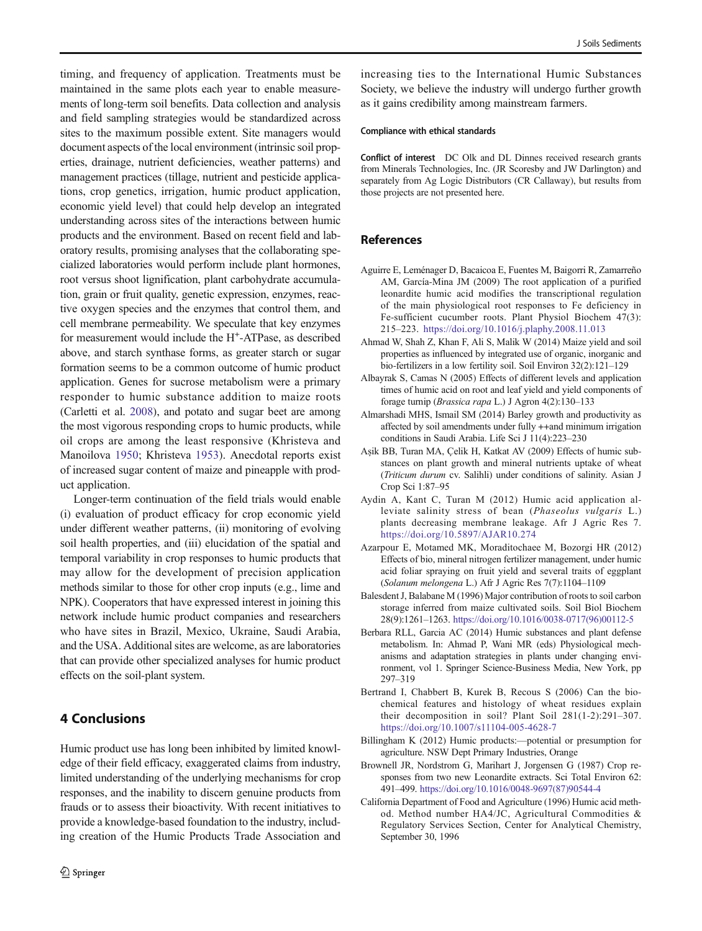<span id="page-7-0"></span>timing, and frequency of application. Treatments must be maintained in the same plots each year to enable measurements of long-term soil benefits. Data collection and analysis and field sampling strategies would be standardized across sites to the maximum possible extent. Site managers would document aspects of the local environment (intrinsic soil properties, drainage, nutrient deficiencies, weather patterns) and management practices (tillage, nutrient and pesticide applications, crop genetics, irrigation, humic product application, economic yield level) that could help develop an integrated understanding across sites of the interactions between humic products and the environment. Based on recent field and laboratory results, promising analyses that the collaborating specialized laboratories would perform include plant hormones, root versus shoot lignification, plant carbohydrate accumulation, grain or fruit quality, genetic expression, enzymes, reactive oxygen species and the enzymes that control them, and cell membrane permeability. We speculate that key enzymes for measurement would include the H<sup>+</sup>-ATPase, as described above, and starch synthase forms, as greater starch or sugar formation seems to be a common outcome of humic product application. Genes for sucrose metabolism were a primary responder to humic substance addition to maize roots (Carletti et al. [2008\)](#page-8-0), and potato and sugar beet are among the most vigorous responding crops to humic products, while oil crops are among the least responsive (Khristeva and Manoilova [1950](#page-8-0); Khristeva [1953\)](#page-8-0). Anecdotal reports exist of increased sugar content of maize and pineapple with product application.

Longer-term continuation of the field trials would enable (i) evaluation of product efficacy for crop economic yield under different weather patterns, (ii) monitoring of evolving soil health properties, and (iii) elucidation of the spatial and temporal variability in crop responses to humic products that may allow for the development of precision application methods similar to those for other crop inputs (e.g., lime and NPK). Cooperators that have expressed interest in joining this network include humic product companies and researchers who have sites in Brazil, Mexico, Ukraine, Saudi Arabia, and the USA. Additional sites are welcome, as are laboratories that can provide other specialized analyses for humic product effects on the soil-plant system.

# 4 Conclusions

Humic product use has long been inhibited by limited knowledge of their field efficacy, exaggerated claims from industry, limited understanding of the underlying mechanisms for crop responses, and the inability to discern genuine products from frauds or to assess their bioactivity. With recent initiatives to provide a knowledge-based foundation to the industry, including creation of the Humic Products Trade Association and increasing ties to the International Humic Substances Society, we believe the industry will undergo further growth as it gains credibility among mainstream farmers.

#### Compliance with ethical standards

Conflict of interest DC Olk and DL Dinnes received research grants from Minerals Technologies, Inc. (JR Scoresby and JW Darlington) and separately from Ag Logic Distributors (CR Callaway), but results from those projects are not presented here.

# **References**

- Aguirre E, Leménager D, Bacaicoa E, Fuentes M, Baigorri R, Zamarreño AM, García-Mina JM (2009) The root application of a purified leonardite humic acid modifies the transcriptional regulation of the main physiological root responses to Fe deficiency in Fe-sufficient cucumber roots. Plant Physiol Biochem 47(3): 215–223. <https://doi.org/10.1016/j.plaphy.2008.11.013>
- Ahmad W, Shah Z, Khan F, Ali S, Malik W (2014) Maize yield and soil properties as influenced by integrated use of organic, inorganic and bio-fertilizers in a low fertility soil. Soil Environ 32(2):121–129
- Albayrak S, Camas N (2005) Effects of different levels and application times of humic acid on root and leaf yield and yield components of forage turnip (Brassica rapa L.) J Agron 4(2):130–133
- Almarshadi MHS, Ismail SM (2014) Barley growth and productivity as affected by soil amendments under fully ++and minimum irrigation conditions in Saudi Arabia. Life Sci J 11(4):223–230
- Aşik BB, Turan MA, Çelik H, Katkat AV (2009) Effects of humic substances on plant growth and mineral nutrients uptake of wheat (Triticum durum cv. Salihli) under conditions of salinity. Asian J Crop Sci 1:87–95
- Aydin A, Kant C, Turan M (2012) Humic acid application alleviate salinity stress of bean (Phaseolus vulgaris L.) plants decreasing membrane leakage. Afr J Agric Res 7. <https://doi.org/10.5897/AJAR10.274>
- Azarpour E, Motamed MK, Moraditochaee M, Bozorgi HR (2012) Effects of bio, mineral nitrogen fertilizer management, under humic acid foliar spraying on fruit yield and several traits of eggplant (Solanum melongena L.) Afr J Agric Res 7(7):1104–1109
- Balesdent J, Balabane M (1996) Major contribution of roots to soil carbon storage inferred from maize cultivated soils. Soil Biol Biochem 28(9):1261–1263. [https://doi.org/10.1016/0038-0717\(96\)00112-5](https://doi.org/10.1016/0038-0717(96)00112-5)
- Berbara RLL, Garcia AC (2014) Humic substances and plant defense metabolism. In: Ahmad P, Wani MR (eds) Physiological mechanisms and adaptation strategies in plants under changing environment, vol 1. Springer Science-Business Media, New York, pp 297–319
- Bertrand I, Chabbert B, Kurek B, Recous S (2006) Can the biochemical features and histology of wheat residues explain their decomposition in soil? Plant Soil 281(1-2):291–307. <https://doi.org/10.1007/s11104-005-4628-7>
- Billingham K (2012) Humic products:—potential or presumption for agriculture. NSW Dept Primary Industries, Orange
- Brownell JR, Nordstrom G, Marihart J, Jorgensen G (1987) Crop responses from two new Leonardite extracts. Sci Total Environ 62: 491–499. [https://doi.org/10.1016/0048-9697\(87\)90544-4](https://doi.org/10.1016/0048-9697(87)90544-4)
- California Department of Food and Agriculture (1996) Humic acid method. Method number HA4/JC, Agricultural Commodities & Regulatory Services Section, Center for Analytical Chemistry, September 30, 1996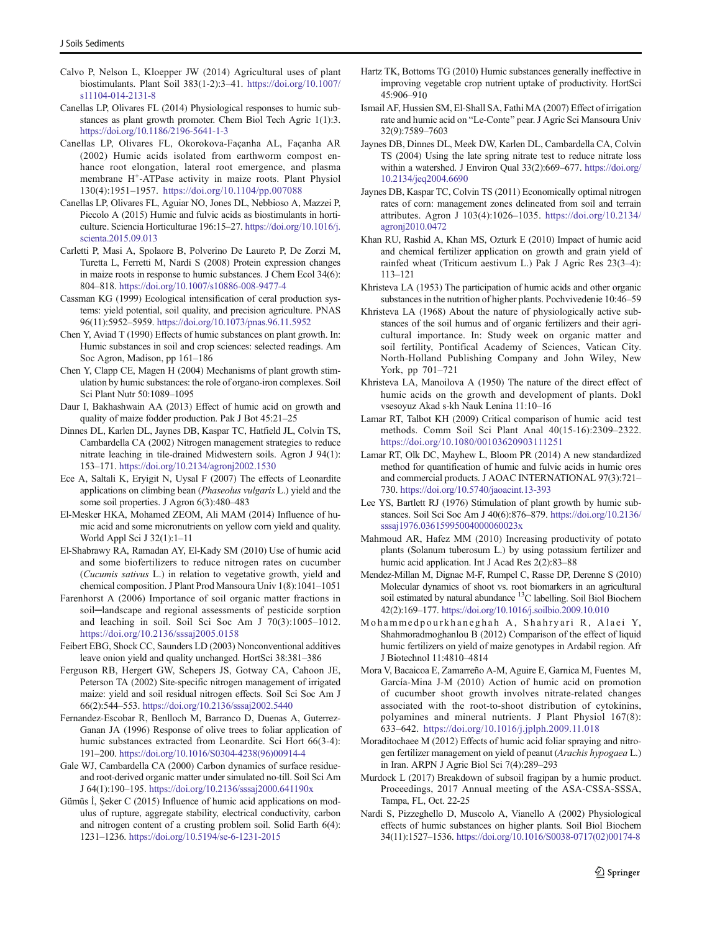- <span id="page-8-0"></span>Calvo P, Nelson L, Kloepper JW (2014) Agricultural uses of plant biostimulants. Plant Soil 383(1-2):3–41. [https://doi.org/10.1007/](https://doi.org/10.1007/s11104-014-2131-8) [s11104-014-2131-8](https://doi.org/10.1007/s11104-014-2131-8)
- Canellas LP, Olivares FL (2014) Physiological responses to humic substances as plant growth promoter. Chem Biol Tech Agric 1(1):3. <https://doi.org/10.1186/2196-5641-1-3>
- Canellas LP, Olivares FL, Okorokova-Façanha AL, Façanha AR (2002) Humic acids isolated from earthworm compost enhance root elongation, lateral root emergence, and plasma membrane H<sup>+</sup>-ATPase activity in maize roots. Plant Physiol 130(4):1951–1957. <https://doi.org/10.1104/pp.007088>
- Canellas LP, Olivares FL, Aguiar NO, Jones DL, Nebbioso A, Mazzei P, Piccolo A (2015) Humic and fulvic acids as biostimulants in horticulture. Sciencia Horticulturae 196:15–27. [https://doi.org/10.1016/j.](https://doi.org/10.1016/j.scienta.2015.09.013) [scienta.2015.09.013](https://doi.org/10.1016/j.scienta.2015.09.013)
- Carletti P, Masi A, Spolaore B, Polverino De Laureto P, De Zorzi M, Turetta L, Ferretti M, Nardi S (2008) Protein expression changes in maize roots in response to humic substances. J Chem Ecol 34(6): 804–818. <https://doi.org/10.1007/s10886-008-9477-4>
- Cassman KG (1999) Ecological intensification of ceral production systems: yield potential, soil quality, and precision agriculture. PNAS 96(11):5952–5959. <https://doi.org/10.1073/pnas.96.11.5952>
- Chen Y, Aviad T (1990) Effects of humic substances on plant growth. In: Humic substances in soil and crop sciences: selected readings. Am Soc Agron, Madison, pp 161–186
- Chen Y, Clapp CE, Magen H (2004) Mechanisms of plant growth stimulation by humic substances: the role of organo-iron complexes. Soil Sci Plant Nutr 50:1089–1095
- Daur I, Bakhashwain AA (2013) Effect of humic acid on growth and quality of maize fodder production. Pak J Bot 45:21–25
- Dinnes DL, Karlen DL, Jaynes DB, Kaspar TC, Hatfield JL, Colvin TS, Cambardella CA (2002) Nitrogen management strategies to reduce nitrate leaching in tile-drained Midwestern soils. Agron J 94(1): 153–171. <https://doi.org/10.2134/agronj2002.1530>
- Ece A, Saltali K, Eryigit N, Uysal F (2007) The effects of Leonardite applications on climbing bean (Phaseolus vulgaris L.) yield and the some soil properties. J Agron 6(3):480–483
- El-Mesker HKA, Mohamed ZEOM, Ali MAM (2014) Influence of humic acid and some micronutrients on yellow corn yield and quality. World Appl Sci J 32(1):1–11
- El-Shabrawy RA, Ramadan AY, El-Kady SM (2010) Use of humic acid and some biofertilizers to reduce nitrogen rates on cucumber (Cucumis sativus L.) in relation to vegetative growth, yield and chemical composition. J Plant Prod Mansoura Univ 1(8):1041–1051
- Farenhorst A (2006) Importance of soil organic matter fractions in soil-landscape and regional assessments of pesticide sorption and leaching in soil. Soil Sci Soc Am J 70(3):1005–1012. <https://doi.org/10.2136/sssaj2005.0158>
- Feibert EBG, Shock CC, Saunders LD (2003) Nonconventional additives leave onion yield and quality unchanged. HortSci 38:381–386
- Ferguson RB, Hergert GW, Schepers JS, Gotway CA, Cahoon JE, Peterson TA (2002) Site-specific nitrogen management of irrigated maize: yield and soil residual nitrogen effects. Soil Sci Soc Am J 66(2):544–553. <https://doi.org/10.2136/sssaj2002.5440>
- Fernandez-Escobar R, Benlloch M, Barranco D, Duenas A, Guterrez-Ganan JA (1996) Response of olive trees to foliar application of humic substances extracted from Leonardite. Sci Hort 66(3-4): 191–200. [https://doi.org/10.1016/S0304-4238\(96\)00914-4](https://doi.org/10.1016/S0304-4238(96)00914-4)
- Gale WJ, Cambardella CA (2000) Carbon dynamics of surface residueand root-derived organic matter under simulated no-till. Soil Sci Am J 64(1):190–195. <https://doi.org/10.2136/sssaj2000.641190x>
- Gümüs İ, Şeker C (2015) Influence of humic acid applications on modulus of rupture, aggregate stability, electrical conductivity, carbon and nitrogen content of a crusting problem soil. Solid Earth 6(4): 1231–1236. <https://doi.org/10.5194/se-6-1231-2015>
- Hartz TK, Bottoms TG (2010) Humic substances generally ineffective in improving vegetable crop nutrient uptake of productivity. HortSci 45:906–910
- Ismail AF, Hussien SM, El-Shall SA, Fathi MA (2007) Effect of irrigation rate and humic acid on "Le-Conte" pear. J Agric Sci Mansoura Univ 32(9):7589–7603
- Jaynes DB, Dinnes DL, Meek DW, Karlen DL, Cambardella CA, Colvin TS (2004) Using the late spring nitrate test to reduce nitrate loss within a watershed. J Environ Qual 33(2):669–677. [https://doi.org/](https://doi.org/10.2134/jeq2004.6690) [10.2134/jeq2004.6690](https://doi.org/10.2134/jeq2004.6690)
- Jaynes DB, Kaspar TC, Colvin TS (2011) Economically optimal nitrogen rates of corn: management zones delineated from soil and terrain attributes. Agron J 103(4):1026–1035. [https://doi.org/10.2134/](https://doi.org/10.2134/agronj2010.0472) [agronj2010.0472](https://doi.org/10.2134/agronj2010.0472)
- Khan RU, Rashid A, Khan MS, Ozturk E (2010) Impact of humic acid and chemical fertilizer application on growth and grain yield of rainfed wheat (Triticum aestivum L.) Pak J Agric Res 23(3–4): 113–121
- Khristeva LA (1953) The participation of humic acids and other organic substances in the nutrition of higher plants. Pochvivedenie 10:46–59
- Khristeva LA (1968) About the nature of physiologically active substances of the soil humus and of organic fertilizers and their agricultural importance. In: Study week on organic matter and soil fertility, Pontifical Academy of Sciences, Vatican City. North-Holland Publishing Company and John Wiley, New York, pp 701–721
- Khristeva LA, Manoilova A (1950) The nature of the direct effect of humic acids on the growth and development of plants. Dokl vsesoyuz Akad s-kh Nauk Lenina 11:10–16
- Lamar RT, Talbot KH (2009) Critical comparison of humic acid test methods. Comm Soil Sci Plant Anal 40(15-16):2309–2322. <https://doi.org/10.1080/00103620903111251>
- Lamar RT, Olk DC, Mayhew L, Bloom PR (2014) A new standardized method for quantification of humic and fulvic acids in humic ores and commercial products. J AOAC INTERNATIONAL 97(3):721– 730. <https://doi.org/10.5740/jaoacint.13-393>
- Lee YS, Bartlett RJ (1976) Stimulation of plant growth by humic substances. Soil Sci Soc Am J 40(6):876–879. [https://doi.org/10.2136/](https://doi.org/10.2136/sssaj1976.03615995004000060023x) [sssaj1976.03615995004000060023x](https://doi.org/10.2136/sssaj1976.03615995004000060023x)
- Mahmoud AR, Hafez MM (2010) Increasing productivity of potato plants (Solanum tuberosum L.) by using potassium fertilizer and humic acid application. Int J Acad Res 2(2):83–88
- Mendez-Millan M, Dignac M-F, Rumpel C, Rasse DP, Derenne S (2010) Molecular dynamics of shoot vs. root biomarkers in an agricultural soil estimated by natural abundance <sup>13</sup>C labelling. Soil Biol Biochem 42(2):169–177. <https://doi.org/10.1016/j.soilbio.2009.10.010>
- Mohammedpourkhaneghah A, Shahryari R, Alaei Y, Shahmoradmoghanlou B (2012) Comparison of the effect of liquid humic fertilizers on yield of maize genotypes in Ardabil region. Afr J Biotechnol 11:4810–4814
- Mora V, Bacaicoa E, Zamarreño A-M, Aguire E, Garnica M, Fuentes M, García-Mina J-M (2010) Action of humic acid on promotion of cucumber shoot growth involves nitrate-related changes associated with the root-to-shoot distribution of cytokinins, polyamines and mineral nutrients. J Plant Physiol 167(8): 633–642. <https://doi.org/10.1016/j.jplph.2009.11.018>
- Moraditochaee M (2012) Effects of humic acid foliar spraying and nitrogen fertilizer management on yield of peanut (Arachis hypogaea L.) in Iran. ARPN J Agric Biol Sci 7(4):289–293
- Murdock L (2017) Breakdown of subsoil fragipan by a humic product. Proceedings, 2017 Annual meeting of the ASA-CSSA-SSSA, Tampa, FL, Oct. 22-25
- Nardi S, Pizzeghello D, Muscolo A, Vianello A (2002) Physiological effects of humic substances on higher plants. Soil Biol Biochem 34(11):1527–1536. [https://doi.org/10.1016/S0038-0717\(02\)00174-8](https://doi.org/10.1016/S0038-0717(02)00174-8)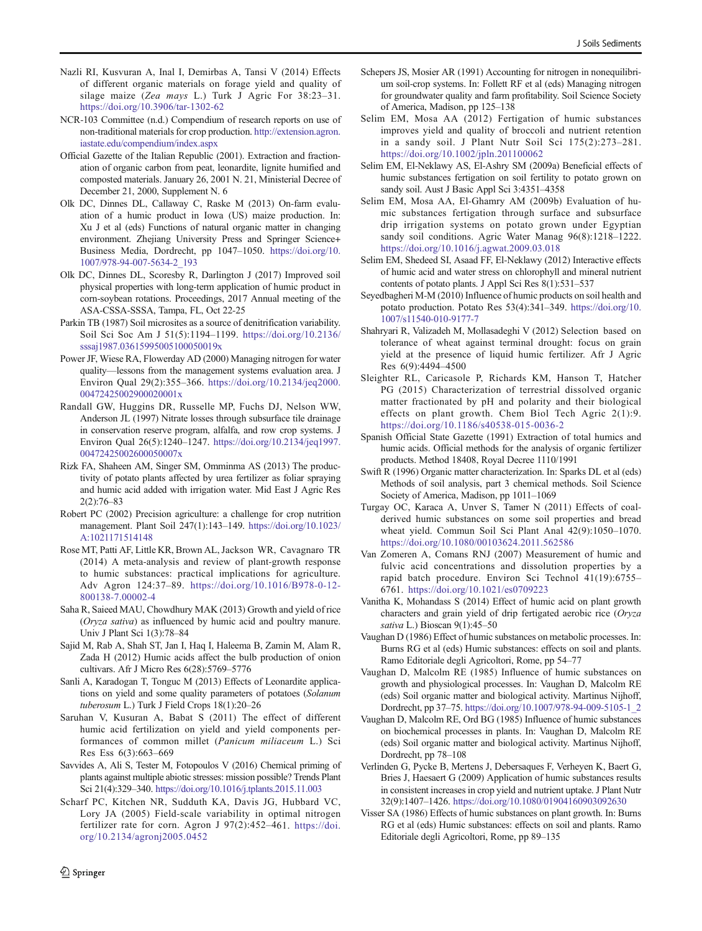- <span id="page-9-0"></span>Nazli RI, Kusvuran A, Inal I, Demirbas A, Tansi V (2014) Effects of different organic materials on forage yield and quality of silage maize (Zea mays L.) Turk J Agric For 38:23–31. <https://doi.org/10.3906/tar-1302-62>
- NCR-103 Committee (n.d.) Compendium of research reports on use of non-traditional materials for crop production. [http://extension.agron.](http://extension.agron.iastate.edu/compendium/index.aspx) [iastate.edu/compendium/index.aspx](http://extension.agron.iastate.edu/compendium/index.aspx)
- Official Gazette of the Italian Republic (2001). Extraction and fractionation of organic carbon from peat, leonardite, lignite humified and composted materials. January 26, 2001 N. 21, Ministerial Decree of December 21, 2000, Supplement N. 6
- Olk DC, Dinnes DL, Callaway C, Raske M (2013) On-farm evaluation of a humic product in Iowa (US) maize production. In: Xu J et al (eds) Functions of natural organic matter in changing environment. Zhejiang University Press and Springer Science+ Business Media, Dordrecht, pp 1047–1050. [https://doi.org/10.](https://doi.org/10.1007/978-94-007-5634-2_193) [1007/978-94-007-5634-2\\_193](https://doi.org/10.1007/978-94-007-5634-2_193)
- Olk DC, Dinnes DL, Scoresby R, Darlington J (2017) Improved soil physical properties with long-term application of humic product in corn-soybean rotations. Proceedings, 2017 Annual meeting of the ASA-CSSA-SSSA, Tampa, FL, Oct 22-25
- Parkin TB (1987) Soil microsites as a source of denitrification variability. Soil Sci Soc Am J 51(5):1194–1199. [https://doi.org/10.2136/](https://doi.org/10.2136/sssaj1987.03615995005100050019x) [sssaj1987.03615995005100050019x](https://doi.org/10.2136/sssaj1987.03615995005100050019x)
- Power JF, Wiese RA, Flowerday AD (2000) Managing nitrogen for water quality—lessons from the management systems evaluation area. J Environ Qual 29(2):355–366. [https://doi.org/10.2134/jeq2000.](https://doi.org/10.2134/jeq2000.00472425002900020001x) [00472425002900020001x](https://doi.org/10.2134/jeq2000.00472425002900020001x)
- Randall GW, Huggins DR, Russelle MP, Fuchs DJ, Nelson WW, Anderson JL (1997) Nitrate losses through subsurface tile drainage in conservation reserve program, alfalfa, and row crop systems. J Environ Qual 26(5):1240–1247. [https://doi.org/10.2134/jeq1997.](https://doi.org/10.2134/jeq1997.00472425002600050007x) [00472425002600050007x](https://doi.org/10.2134/jeq1997.00472425002600050007x)
- Rizk FA, Shaheen AM, Singer SM, Omminma AS (2013) The productivity of potato plants affected by urea fertilizer as foliar spraying and humic acid added with irrigation water. Mid East J Agric Res 2(2):76–83
- Robert PC (2002) Precision agriculture: a challenge for crop nutrition management. Plant Soil 247(1):143–149. [https://doi.org/10.1023/](https://doi.org/10.1023/A:1021171514148) [A:1021171514148](https://doi.org/10.1023/A:1021171514148)
- Rose MT, Patti AF, Little KR, Brown AL, Jackson WR, Cavagnaro TR (2014) A meta-analysis and review of plant-growth response to humic substances: practical implications for agriculture. Adv Agron 124:37–89. [https://doi.org/10.1016/B978-0-12-](https://doi.org/10.1016/B978-0-12-800138-7.00002-4) [800138-7.00002-4](https://doi.org/10.1016/B978-0-12-800138-7.00002-4)
- Saha R, Saieed MAU, Chowdhury MAK (2013) Growth and yield of rice (Oryza sativa) as influenced by humic acid and poultry manure. Univ J Plant Sci 1(3):78–84
- Sajid M, Rab A, Shah ST, Jan I, Haq I, Haleema B, Zamin M, Alam R, Zada H (2012) Humic acids affect the bulb production of onion cultivars. Afr J Micro Res 6(28):5769–5776
- Sanli A, Karadogan T, Tonguc M (2013) Effects of Leonardite applications on yield and some quality parameters of potatoes (Solanum tuberosum L.) Turk J Field Crops 18(1):20–26
- Saruhan V, Kusuran A, Babat S (2011) The effect of different humic acid fertilization on yield and yield components performances of common millet (Panicum miliaceum L.) Sci Res Ess 6(3):663–669
- Savvides A, Ali S, Tester M, Fotopoulos V (2016) Chemical priming of plants against multiple abiotic stresses: mission possible? Trends Plant Sci 21(4):329–340. <https://doi.org/10.1016/j.tplants.2015.11.003>
- Scharf PC, Kitchen NR, Sudduth KA, Davis JG, Hubbard VC, Lory JA (2005) Field-scale variability in optimal nitrogen fertilizer rate for corn. Agron J 97(2):452–461. [https://doi.](https://doi.org/10.2134/agronj2005.0452) [org/10.2134/agronj2005.0452](https://doi.org/10.2134/agronj2005.0452)
- Schepers JS, Mosier AR (1991) Accounting for nitrogen in nonequilibrium soil-crop systems. In: Follett RF et al (eds) Managing nitrogen for groundwater quality and farm profitability. Soil Science Society of America, Madison, pp 125–138
- Selim EM, Mosa AA (2012) Fertigation of humic substances improves yield and quality of broccoli and nutrient retention in a sandy soil. J Plant Nutr Soil Sci 175(2):273–281. <https://doi.org/10.1002/jpln.201100062>
- Selim EM, El-Neklawy AS, El-Ashry SM (2009a) Beneficial effects of humic substances fertigation on soil fertility to potato grown on sandy soil. Aust J Basic Appl Sci 3:4351–4358
- Selim EM, Mosa AA, El-Ghamry AM (2009b) Evaluation of humic substances fertigation through surface and subsurface drip irrigation systems on potato grown under Egyptian sandy soil conditions. Agric Water Manag 96(8):1218–1222. <https://doi.org/10.1016/j.agwat.2009.03.018>
- Selim EM, Shedeed SI, Asaad FF, El-Neklawy (2012) Interactive effects of humic acid and water stress on chlorophyll and mineral nutrient contents of potato plants. J Appl Sci Res 8(1):531–537
- Seyedbagheri M-M (2010) Influence of humic products on soil health and potato production. Potato Res 53(4):341–349. [https://doi.org/10.](https://doi.org/10.1007/s11540-010-9177-7) [1007/s11540-010-9177-7](https://doi.org/10.1007/s11540-010-9177-7)
- Shahryari R, Valizadeh M, Mollasadeghi V (2012) Selection based on tolerance of wheat against terminal drought: focus on grain yield at the presence of liquid humic fertilizer. Afr J Agric Res 6(9):4494–4500
- Sleighter RL, Caricasole P, Richards KM, Hanson T, Hatcher PG (2015) Characterization of terrestrial dissolved organic matter fractionated by pH and polarity and their biological effects on plant growth. Chem Biol Tech Agric 2(1):9. <https://doi.org/10.1186/s40538-015-0036-2>
- Spanish Official State Gazette (1991) Extraction of total humics and humic acids. Official methods for the analysis of organic fertilizer products. Method 18408, Royal Decree 1110/1991
- Swift R (1996) Organic matter characterization. In: Sparks DL et al (eds) Methods of soil analysis, part 3 chemical methods. Soil Science Society of America, Madison, pp 1011–1069
- Turgay OC, Karaca A, Unver S, Tamer N (2011) Effects of coalderived humic substances on some soil properties and bread wheat yield. Commun Soil Sci Plant Anal 42(9):1050–1070. <https://doi.org/10.1080/00103624.2011.562586>
- Van Zomeren A, Comans RNJ (2007) Measurement of humic and fulvic acid concentrations and dissolution properties by a rapid batch procedure. Environ Sci Technol 41(19):6755– 6761. <https://doi.org/10.1021/es0709223>
- Vanitha K, Mohandass S (2014) Effect of humic acid on plant growth characters and grain yield of drip fertigated aerobic rice (Oryza sativa L.) Bioscan 9(1):45-50
- Vaughan D (1986) Effect of humic substances on metabolic processes. In: Burns RG et al (eds) Humic substances: effects on soil and plants. Ramo Editoriale degli Agricoltori, Rome, pp 54–77
- Vaughan D, Malcolm RE (1985) Influence of humic substances on growth and physiological processes. In: Vaughan D, Malcolm RE (eds) Soil organic matter and biological activity. Martinus Nijhoff, Dordrecht, pp 37–75. [https://doi.org/10.1007/978-94-009-5105-1\\_2](https://doi.org/10.1007/978-94-009-5105-1_2)
- Vaughan D, Malcolm RE, Ord BG (1985) Influence of humic substances on biochemical processes in plants. In: Vaughan D, Malcolm RE (eds) Soil organic matter and biological activity. Martinus Nijhoff, Dordrecht, pp 78–108
- Verlinden G, Pycke B, Mertens J, Debersaques F, Verheyen K, Baert G, Bries J, Haesaert G (2009) Application of humic substances results in consistent increases in crop yield and nutrient uptake. J Plant Nutr 32(9):1407–1426. <https://doi.org/10.1080/01904160903092630>
- Visser SA (1986) Effects of humic substances on plant growth. In: Burns RG et al (eds) Humic substances: effects on soil and plants. Ramo Editoriale degli Agricoltori, Rome, pp 89–135